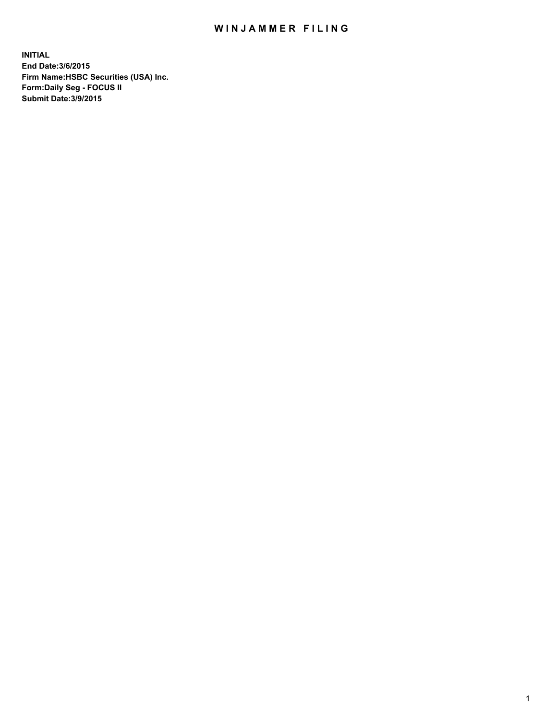## WIN JAMMER FILING

**INITIAL End Date:3/6/2015 Firm Name:HSBC Securities (USA) Inc. Form:Daily Seg - FOCUS II Submit Date:3/9/2015**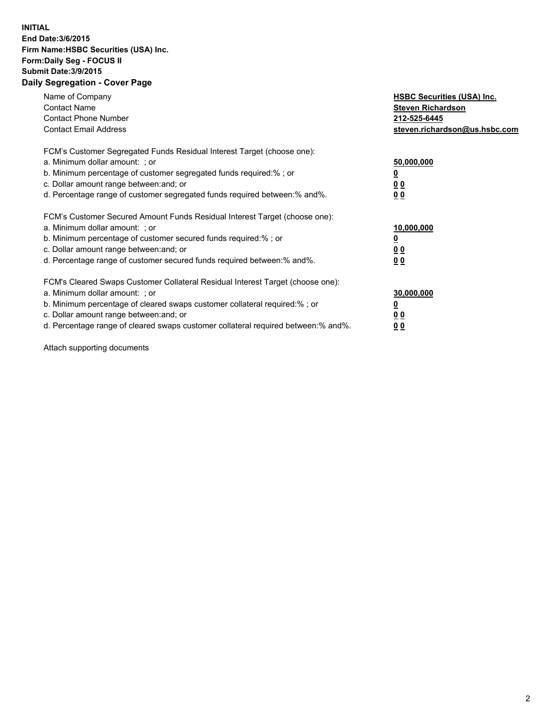## **INITIAL End Date:3/6/2015 Firm Name:HSBC Securities (USA) Inc. Form:Daily Seg - FOCUS II Submit Date:3/9/2015 Daily Segregation - Cover Page**

| Name of Company<br><b>Contact Name</b><br><b>Contact Phone Number</b><br><b>Contact Email Address</b>                                                                                                                                                                                                                         | <b>HSBC Securities (USA) Inc.</b><br><b>Steven Richardson</b><br>212-525-6445<br>steven.richardson@us.hsbc.com |
|-------------------------------------------------------------------------------------------------------------------------------------------------------------------------------------------------------------------------------------------------------------------------------------------------------------------------------|----------------------------------------------------------------------------------------------------------------|
| FCM's Customer Segregated Funds Residual Interest Target (choose one):<br>a. Minimum dollar amount: ; or<br>b. Minimum percentage of customer segregated funds required:% ; or<br>c. Dollar amount range between: and; or<br>d. Percentage range of customer segregated funds required between: % and %.                      | 50,000,000<br>0 <sub>0</sub><br>00                                                                             |
| FCM's Customer Secured Amount Funds Residual Interest Target (choose one):<br>a. Minimum dollar amount: ; or<br>b. Minimum percentage of customer secured funds required:%; or<br>c. Dollar amount range between: and; or<br>d. Percentage range of customer secured funds required between: % and %.                         | 10,000,000<br>00<br>00                                                                                         |
| FCM's Cleared Swaps Customer Collateral Residual Interest Target (choose one):<br>a. Minimum dollar amount: ; or<br>b. Minimum percentage of cleared swaps customer collateral required:%; or<br>c. Dollar amount range between: and; or<br>d. Percentage range of cleared swaps customer collateral required between:% and%. | 30,000,000<br>0 <sub>0</sub><br>00                                                                             |

Attach supporting documents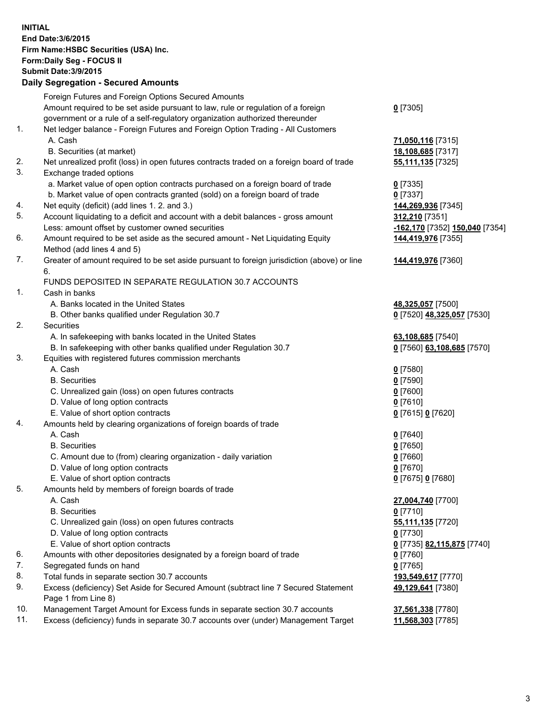**INITIAL End Date:3/6/2015 Firm Name:HSBC Securities (USA) Inc. Form:Daily Seg - FOCUS II Submit Date:3/9/2015 Daily Segregation - Secured Amounts** Foreign Futures and Foreign Options Secured Amounts Amount required to be set aside pursuant to law, rule or regulation of a foreign government or a rule of a self-regulatory organization authorized thereunder **0** [7305] 1. Net ledger balance - Foreign Futures and Foreign Option Trading - All Customers A. Cash **71,050,116** [7315] B. Securities (at market) **18,108,685** [7317] 2. Net unrealized profit (loss) in open futures contracts traded on a foreign board of trade **55,111,135** [7325] 3. Exchange traded options a. Market value of open option contracts purchased on a foreign board of trade **0** [7335] b. Market value of open contracts granted (sold) on a foreign board of trade **0** [7337] 4. Net equity (deficit) (add lines 1. 2. and 3.) **144,269,936** [7345] 5. Account liquidating to a deficit and account with a debit balances - gross amount **312,210** [7351] Less: amount offset by customer owned securities **-162,170** [7352] **150,040** [7354] 6. Amount required to be set aside as the secured amount - Net Liquidating Equity Method (add lines 4 and 5) **144,419,976** [7355] 7. Greater of amount required to be set aside pursuant to foreign jurisdiction (above) or line 6. **144,419,976** [7360] FUNDS DEPOSITED IN SEPARATE REGULATION 30.7 ACCOUNTS 1. Cash in banks A. Banks located in the United States **48,325,057** [7500] B. Other banks qualified under Regulation 30.7 **0** [7520] **48,325,057** [7530] 2. Securities A. In safekeeping with banks located in the United States **63,108,685** [7540] B. In safekeeping with other banks qualified under Regulation 30.7 **0** [7560] **63,108,685** [7570] 3. Equities with registered futures commission merchants A. Cash **0** [7580] B. Securities **0** [7590] C. Unrealized gain (loss) on open futures contracts **0** [7600] D. Value of long option contracts **0** [7610] E. Value of short option contracts **0** [7615] **0** [7620] 4. Amounts held by clearing organizations of foreign boards of trade A. Cash **0** [7640] B. Securities **0** [7650] C. Amount due to (from) clearing organization - daily variation **0** [7660] D. Value of long option contracts **0** [7670] E. Value of short option contracts **0** [7675] **0** [7680] 5. Amounts held by members of foreign boards of trade A. Cash **27,004,740** [7700] B. Securities **0** [7710] C. Unrealized gain (loss) on open futures contracts **55,111,135** [7720] D. Value of long option contracts **0** [7730] E. Value of short option contracts **0** [7735] **82,115,875** [7740] 6. Amounts with other depositories designated by a foreign board of trade **0** [7760] 7. Segregated funds on hand **0** [7765] 8. Total funds in separate section 30.7 accounts **193,549,617** [7770] 9. Excess (deficiency) Set Aside for Secured Amount (subtract line 7 Secured Statement Page 1 from Line 8) **49,129,641** [7380] 10. Management Target Amount for Excess funds in separate section 30.7 accounts **37,561,338** [7780] 11. Excess (deficiency) funds in separate 30.7 accounts over (under) Management Target **11,568,303** [7785]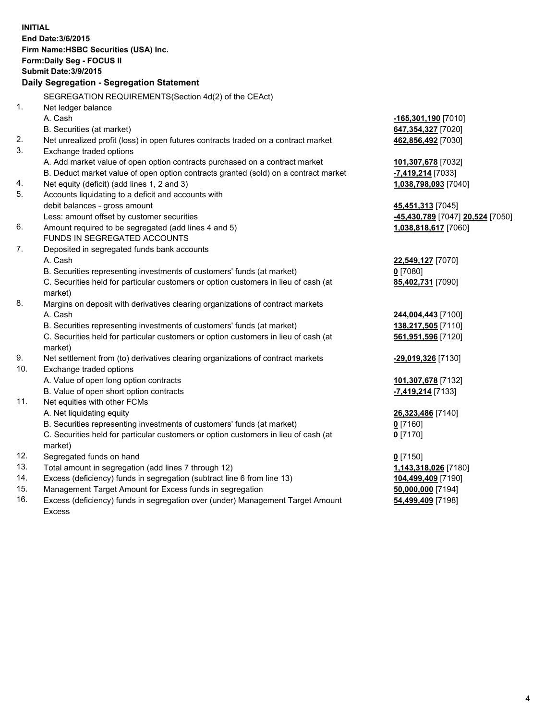| <b>INITIAL</b> | End Date: 3/6/2015<br>Firm Name: HSBC Securities (USA) Inc.<br>Form: Daily Seg - FOCUS II<br><b>Submit Date: 3/9/2015</b><br>Daily Segregation - Segregation Statement<br>SEGREGATION REQUIREMENTS(Section 4d(2) of the CEAct)                             |                                                                 |
|----------------|------------------------------------------------------------------------------------------------------------------------------------------------------------------------------------------------------------------------------------------------------------|-----------------------------------------------------------------|
| 1.             | Net ledger balance<br>A. Cash<br>B. Securities (at market)                                                                                                                                                                                                 | -165,301,190 [7010]<br>647,354,327 [7020]                       |
| 2.<br>3.       | Net unrealized profit (loss) in open futures contracts traded on a contract market<br>Exchange traded options                                                                                                                                              | 462,856,492 [7030]                                              |
| 4.             | A. Add market value of open option contracts purchased on a contract market<br>B. Deduct market value of open option contracts granted (sold) on a contract market<br>Net equity (deficit) (add lines 1, 2 and 3)                                          | 101,307,678 [7032]<br>-7,419,214 [7033]<br>1,038,798,093 [7040] |
| 5.             | Accounts liquidating to a deficit and accounts with<br>debit balances - gross amount<br>Less: amount offset by customer securities                                                                                                                         | 45,451,313 [7045]<br>-45,430,789 [7047] 20,524 [7050]           |
| 6.             | Amount required to be segregated (add lines 4 and 5)<br>FUNDS IN SEGREGATED ACCOUNTS                                                                                                                                                                       | 1,038,818,617 [7060]                                            |
| 7.             | Deposited in segregated funds bank accounts<br>A. Cash<br>B. Securities representing investments of customers' funds (at market)<br>C. Securities held for particular customers or option customers in lieu of cash (at<br>market)                         | 22,549,127 [7070]<br>$0$ [7080]<br>85,402,731 [7090]            |
| 8.             | Margins on deposit with derivatives clearing organizations of contract markets<br>A. Cash<br>B. Securities representing investments of customers' funds (at market)<br>C. Securities held for particular customers or option customers in lieu of cash (at | 244,004,443 [7100]<br>138,217,505 [7110]<br>561,951,596 [7120]  |
| 9.<br>10.      | market)<br>Net settlement from (to) derivatives clearing organizations of contract markets<br>Exchange traded options                                                                                                                                      | -29,019,326 [7130]                                              |
|                | A. Value of open long option contracts<br>B. Value of open short option contracts                                                                                                                                                                          | 101,307,678 [7132]<br><mark>-7,419,214</mark> [7133]            |
| 11.            | Net equities with other FCMs<br>A. Net liquidating equity<br>B. Securities representing investments of customers' funds (at market)<br>C. Securities held for particular customers or option customers in lieu of cash (at<br>market)                      | 26,323,486 [7140]<br>$0$ [7160]<br>$0$ [7170]                   |
| 12.            | Segregated funds on hand                                                                                                                                                                                                                                   | $0$ [7150]                                                      |
| 13.            | Total amount in segregation (add lines 7 through 12)                                                                                                                                                                                                       | 1,143,318,026 [7180]                                            |
| 14.            | Excess (deficiency) funds in segregation (subtract line 6 from line 13)                                                                                                                                                                                    | 104,499,409 [7190]                                              |
| 15.<br>16.     | Management Target Amount for Excess funds in segregation<br>Excess (deficiency) funds in segregation over (under) Management Target Amount<br><b>Excess</b>                                                                                                | 50,000,000 [7194]<br>54,499,409 [7198]                          |